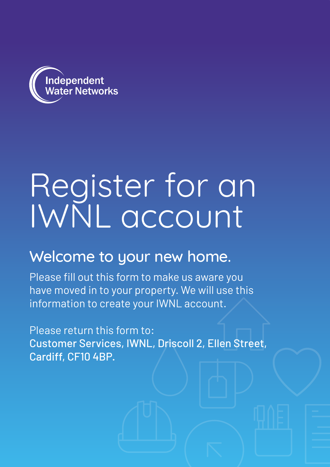

## Register for an IWNL account

## Welcome to your new home.

Please fill out this form to make us aware you have moved in to your property. We will use this information to create your IWNL account.

Please return this form to: Customer Services, IWNL, Driscoll 2, Ellen Street, Cardiff, CF10 4BP.